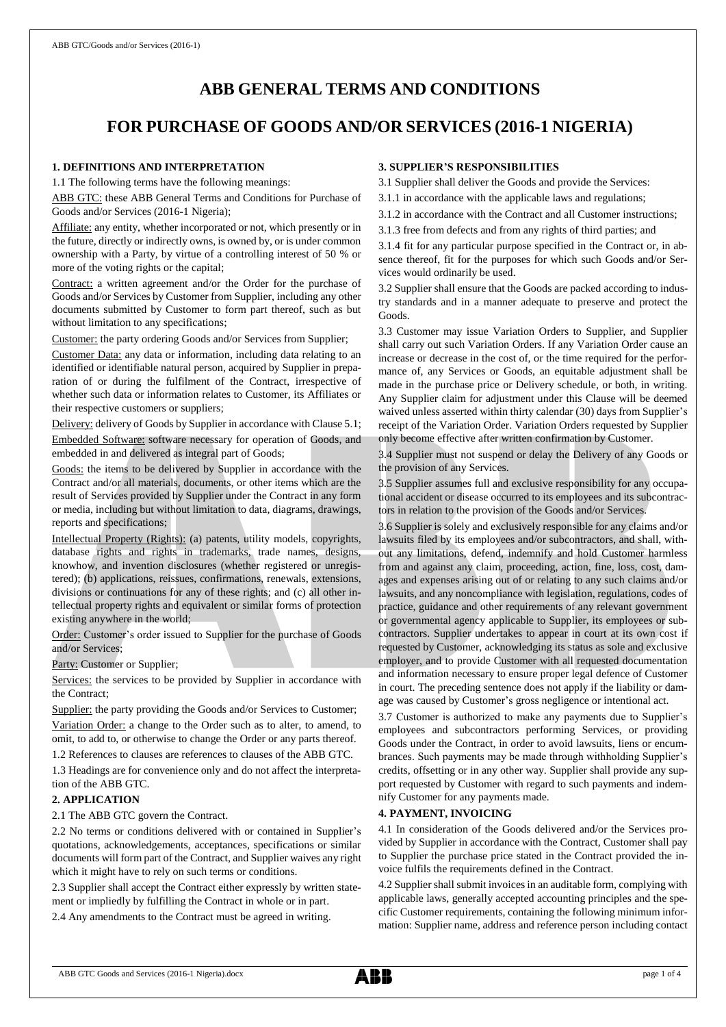# **ABB GENERAL TERMS AND CONDITIONS**

## **FOR PURCHASE OF GOODS AND/OR SERVICES (2016-1 NIGERIA)**

### **1. DEFINITIONS AND INTERPRETATION**

1.1 The following terms have the following meanings:

ABB GTC: these ABB General Terms and Conditions for Purchase of Goods and/or Services (2016-1 Nigeria);

Affiliate: any entity, whether incorporated or not, which presently or in the future, directly or indirectly owns, is owned by, or is under common ownership with a Party, by virtue of a controlling interest of 50 % or more of the voting rights or the capital;

Contract: a written agreement and/or the Order for the purchase of Goods and/or Services by Customer from Supplier, including any other documents submitted by Customer to form part thereof, such as but without limitation to any specifications;

Customer: the party ordering Goods and/or Services from Supplier;

Customer Data: any data or information, including data relating to an identified or identifiable natural person, acquired by Supplier in preparation of or during the fulfilment of the Contract, irrespective of whether such data or information relates to Customer, its Affiliates or their respective customers or suppliers;

Delivery: delivery of Goods by Supplier in accordance with Clause 5.1; Embedded Software: software necessary for operation of Goods, and embedded in and delivered as integral part of Goods;

Goods: the items to be delivered by Supplier in accordance with the Contract and/or all materials, documents, or other items which are the result of Services provided by Supplier under the Contract in any form or media, including but without limitation to data, diagrams, drawings, reports and specifications;

Intellectual Property (Rights): (a) patents, utility models, copyrights, database rights and rights in trademarks, trade names, designs, knowhow, and invention disclosures (whether registered or unregistered); (b) applications, reissues, confirmations, renewals, extensions, divisions or continuations for any of these rights; and (c) all other intellectual property rights and equivalent or similar forms of protection existing anywhere in the world;

Order: Customer's order issued to Supplier for the purchase of Goods and/or Services;

Party: Customer or Supplier;

Services: the services to be provided by Supplier in accordance with the Contract;

Supplier: the party providing the Goods and/or Services to Customer; Variation Order: a change to the Order such as to alter, to amend, to omit, to add to, or otherwise to change the Order or any parts thereof.

1.2 References to clauses are references to clauses of the ABB GTC.

1.3 Headings are for convenience only and do not affect the interpretation of the ABB GTC.

#### **2. APPLICATION**

2.1 The ABB GTC govern the Contract.

2.2 No terms or conditions delivered with or contained in Supplier's quotations, acknowledgements, acceptances, specifications or similar documents will form part of the Contract, and Supplier waives any right which it might have to rely on such terms or conditions.

2.3 Supplier shall accept the Contract either expressly by written statement or impliedly by fulfilling the Contract in whole or in part.

2.4 Any amendments to the Contract must be agreed in writing.

## **3. SUPPLIER'S RESPONSIBILITIES**

3.1 Supplier shall deliver the Goods and provide the Services:

3.1.1 in accordance with the applicable laws and regulations;

3.1.2 in accordance with the Contract and all Customer instructions;

3.1.3 free from defects and from any rights of third parties; and

3.1.4 fit for any particular purpose specified in the Contract or, in absence thereof, fit for the purposes for which such Goods and/or Services would ordinarily be used.

3.2 Supplier shall ensure that the Goods are packed according to industry standards and in a manner adequate to preserve and protect the Goods.

3.3 Customer may issue Variation Orders to Supplier, and Supplier shall carry out such Variation Orders. If any Variation Order cause an increase or decrease in the cost of, or the time required for the performance of, any Services or Goods, an equitable adjustment shall be made in the purchase price or Delivery schedule, or both, in writing. Any Supplier claim for adjustment under this Clause will be deemed waived unless asserted within thirty calendar (30) days from Supplier's receipt of the Variation Order. Variation Orders requested by Supplier only become effective after written confirmation by Customer.

3.4 Supplier must not suspend or delay the Delivery of any Goods or the provision of any Services.

3.5 Supplier assumes full and exclusive responsibility for any occupational accident or disease occurred to its employees and its subcontractors in relation to the provision of the Goods and/or Services.

3.6 Supplier is solely and exclusively responsible for any claims and/or lawsuits filed by its employees and/or subcontractors, and shall, without any limitations, defend, indemnify and hold Customer harmless from and against any claim, proceeding, action, fine, loss, cost, damages and expenses arising out of or relating to any such claims and/or lawsuits, and any noncompliance with legislation, regulations, codes of practice, guidance and other requirements of any relevant government or governmental agency applicable to Supplier, its employees or subcontractors. Supplier undertakes to appear in court at its own cost if requested by Customer, acknowledging its status as sole and exclusive employer, and to provide Customer with all requested documentation and information necessary to ensure proper legal defence of Customer in court. The preceding sentence does not apply if the liability or damage was caused by Customer's gross negligence or intentional act.

3.7 Customer is authorized to make any payments due to Supplier's employees and subcontractors performing Services, or providing Goods under the Contract, in order to avoid lawsuits, liens or encumbrances. Such payments may be made through withholding Supplier's credits, offsetting or in any other way. Supplier shall provide any support requested by Customer with regard to such payments and indemnify Customer for any payments made.

## **4. PAYMENT, INVOICING**

4.1 In consideration of the Goods delivered and/or the Services provided by Supplier in accordance with the Contract, Customer shall pay to Supplier the purchase price stated in the Contract provided the invoice fulfils the requirements defined in the Contract.

4.2 Supplier shall submit invoices in an auditable form, complying with applicable laws, generally accepted accounting principles and the specific Customer requirements, containing the following minimum information: Supplier name, address and reference person including contact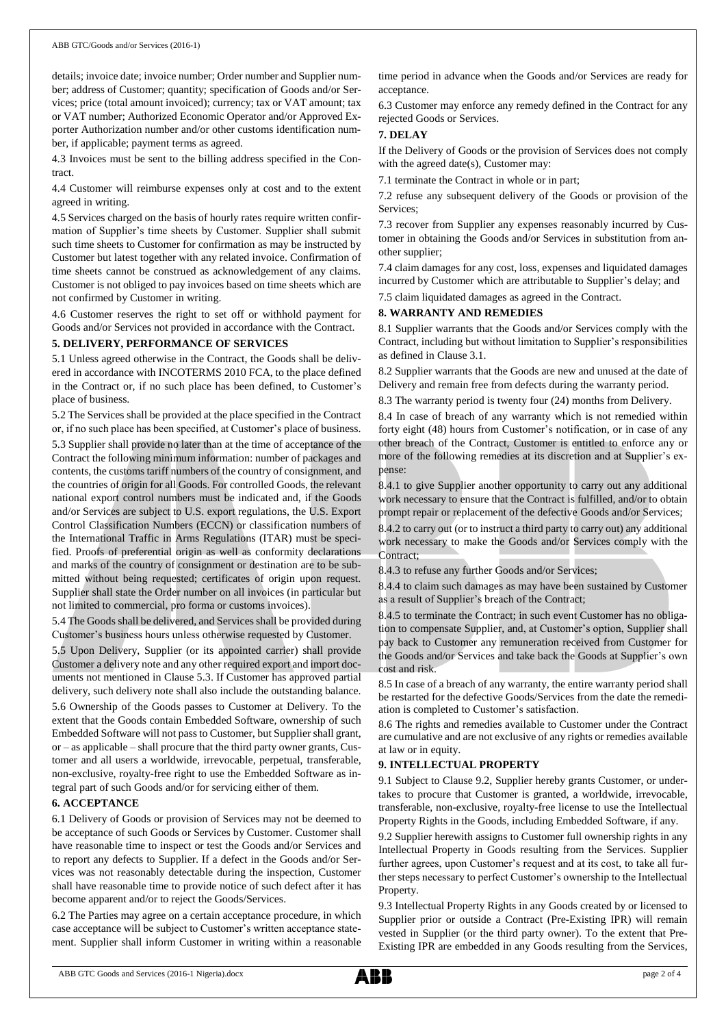details; invoice date; invoice number; Order number and Supplier number; address of Customer; quantity; specification of Goods and/or Services; price (total amount invoiced); currency; tax or VAT amount; tax or VAT number; Authorized Economic Operator and/or Approved Exporter Authorization number and/or other customs identification number, if applicable; payment terms as agreed.

4.3 Invoices must be sent to the billing address specified in the Contract.

4.4 Customer will reimburse expenses only at cost and to the extent agreed in writing.

4.5 Services charged on the basis of hourly rates require written confirmation of Supplier's time sheets by Customer. Supplier shall submit such time sheets to Customer for confirmation as may be instructed by Customer but latest together with any related invoice. Confirmation of time sheets cannot be construed as acknowledgement of any claims. Customer is not obliged to pay invoices based on time sheets which are not confirmed by Customer in writing.

4.6 Customer reserves the right to set off or withhold payment for Goods and/or Services not provided in accordance with the Contract.

#### **5. DELIVERY, PERFORMANCE OF SERVICES**

5.1 Unless agreed otherwise in the Contract, the Goods shall be delivered in accordance with INCOTERMS 2010 FCA, to the place defined in the Contract or, if no such place has been defined, to Customer's place of business.

5.2 The Services shall be provided at the place specified in the Contract or, if no such place has been specified, at Customer's place of business.

5.3 Supplier shall provide no later than at the time of acceptance of the Contract the following minimum information: number of packages and contents, the customs tariff numbers of the country of consignment, and the countries of origin for all Goods. For controlled Goods, the relevant national export control numbers must be indicated and, if the Goods and/or Services are subject to U.S. export regulations, the U.S. Export Control Classification Numbers (ECCN) or classification numbers of the International Traffic in Arms Regulations (ITAR) must be specified. Proofs of preferential origin as well as conformity declarations and marks of the country of consignment or destination are to be submitted without being requested; certificates of origin upon request. Supplier shall state the Order number on all invoices (in particular but not limited to commercial, pro forma or customs invoices).

5.4 The Goods shall be delivered, and Services shall be provided during Customer's business hours unless otherwise requested by Customer.

5.5 Upon Delivery, Supplier (or its appointed carrier) shall provide Customer a delivery note and any other required export and import documents not mentioned in Clause 5.3. If Customer has approved partial delivery, such delivery note shall also include the outstanding balance.

5.6 Ownership of the Goods passes to Customer at Delivery. To the extent that the Goods contain Embedded Software, ownership of such Embedded Software will not passto Customer, but Supplier shall grant, or – as applicable – shall procure that the third party owner grants, Customer and all users a worldwide, irrevocable, perpetual, transferable, non-exclusive, royalty-free right to use the Embedded Software as integral part of such Goods and/or for servicing either of them.

#### **6. ACCEPTANCE**

6.1 Delivery of Goods or provision of Services may not be deemed to be acceptance of such Goods or Services by Customer. Customer shall have reasonable time to inspect or test the Goods and/or Services and to report any defects to Supplier. If a defect in the Goods and/or Services was not reasonably detectable during the inspection, Customer shall have reasonable time to provide notice of such defect after it has become apparent and/or to reject the Goods/Services.

6.2 The Parties may agree on a certain acceptance procedure, in which case acceptance will be subject to Customer's written acceptance statement. Supplier shall inform Customer in writing within a reasonable time period in advance when the Goods and/or Services are ready for acceptance.

6.3 Customer may enforce any remedy defined in the Contract for any rejected Goods or Services.

#### **7. DELAY**

If the Delivery of Goods or the provision of Services does not comply with the agreed date(s), Customer may:

7.1 terminate the Contract in whole or in part;

7.2 refuse any subsequent delivery of the Goods or provision of the Services;

7.3 recover from Supplier any expenses reasonably incurred by Customer in obtaining the Goods and/or Services in substitution from another supplier;

7.4 claim damages for any cost, loss, expenses and liquidated damages incurred by Customer which are attributable to Supplier's delay; and

7.5 claim liquidated damages as agreed in the Contract.

#### **8. WARRANTY AND REMEDIES**

8.1 Supplier warrants that the Goods and/or Services comply with the Contract, including but without limitation to Supplier's responsibilities as defined in Clause 3.1.

8.2 Supplier warrants that the Goods are new and unused at the date of Delivery and remain free from defects during the warranty period.

8.3 The warranty period is twenty four (24) months from Delivery.

8.4 In case of breach of any warranty which is not remedied within forty eight (48) hours from Customer's notification, or in case of any other breach of the Contract, Customer is entitled to enforce any or more of the following remedies at its discretion and at Supplier's expense:

8.4.1 to give Supplier another opportunity to carry out any additional work necessary to ensure that the Contract is fulfilled, and/or to obtain prompt repair or replacement of the defective Goods and/or Services;

8.4.2 to carry out (or to instruct a third party to carry out) any additional work necessary to make the Goods and/or Services comply with the Contract;

8.4.3 to refuse any further Goods and/or Services;

8.4.4 to claim such damages as may have been sustained by Customer as a result of Supplier's breach of the Contract;

8.4.5 to terminate the Contract; in such event Customer has no obligation to compensate Supplier, and, at Customer's option, Supplier shall pay back to Customer any remuneration received from Customer for the Goods and/or Services and take back the Goods at Supplier's own cost and risk.

8.5 In case of a breach of any warranty, the entire warranty period shall be restarted for the defective Goods/Services from the date the remediation is completed to Customer's satisfaction.

8.6 The rights and remedies available to Customer under the Contract are cumulative and are not exclusive of any rights or remedies available at law or in equity.

#### **9. INTELLECTUAL PROPERTY**

9.1 Subject to Clause 9.2, Supplier hereby grants Customer, or undertakes to procure that Customer is granted, a worldwide, irrevocable, transferable, non-exclusive, royalty-free license to use the Intellectual Property Rights in the Goods, including Embedded Software, if any.

9.2 Supplier herewith assigns to Customer full ownership rights in any Intellectual Property in Goods resulting from the Services. Supplier further agrees, upon Customer's request and at its cost, to take all further steps necessary to perfect Customer's ownership to the Intellectual Property.

9.3 Intellectual Property Rights in any Goods created by or licensed to Supplier prior or outside a Contract (Pre-Existing IPR) will remain vested in Supplier (or the third party owner). To the extent that Pre-Existing IPR are embedded in any Goods resulting from the Services,

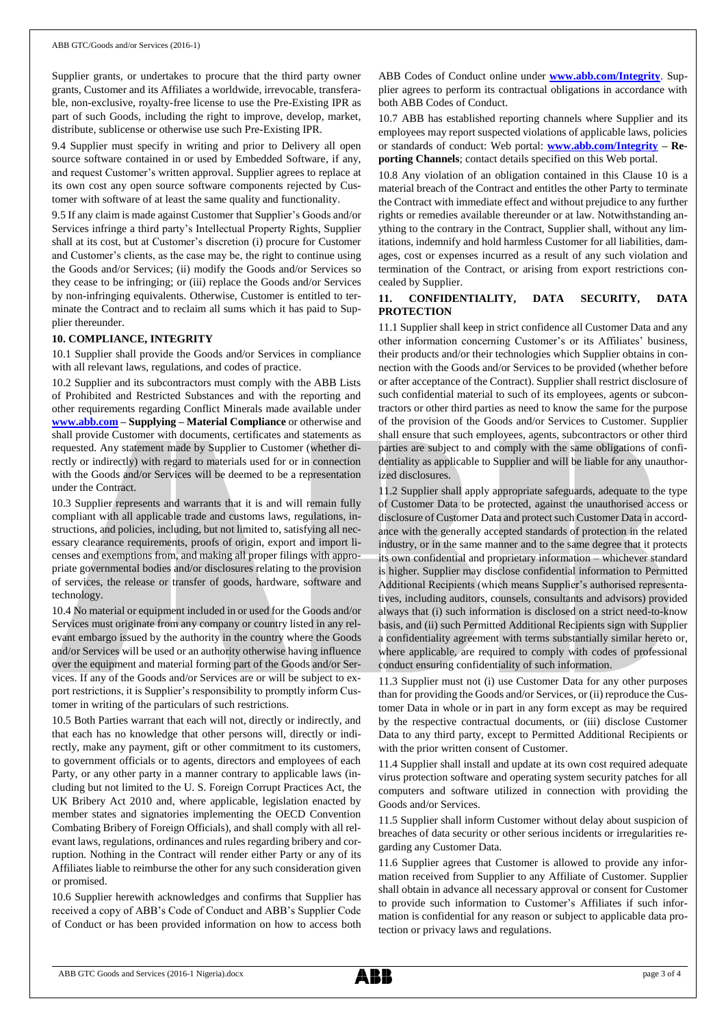Supplier grants, or undertakes to procure that the third party owner grants, Customer and its Affiliates a worldwide, irrevocable, transferable, non-exclusive, royalty-free license to use the Pre-Existing IPR as part of such Goods, including the right to improve, develop, market, distribute, sublicense or otherwise use such Pre-Existing IPR.

9.4 Supplier must specify in writing and prior to Delivery all open source software contained in or used by Embedded Software, if any, and request Customer's written approval. Supplier agrees to replace at its own cost any open source software components rejected by Customer with software of at least the same quality and functionality.

9.5 If any claim is made against Customer that Supplier's Goods and/or Services infringe a third party's Intellectual Property Rights, Supplier shall at its cost, but at Customer's discretion (i) procure for Customer and Customer's clients, as the case may be, the right to continue using the Goods and/or Services; (ii) modify the Goods and/or Services so they cease to be infringing; or (iii) replace the Goods and/or Services by non-infringing equivalents. Otherwise, Customer is entitled to terminate the Contract and to reclaim all sums which it has paid to Supplier thereunder.

#### **10. COMPLIANCE, INTEGRITY**

10.1 Supplier shall provide the Goods and/or Services in compliance with all relevant laws, regulations, and codes of practice.

10.2 Supplier and its subcontractors must comply with the ABB Lists of Prohibited and Restricted Substances and with the reporting and other requirements regarding Conflict Minerals made available under **[www.abb.com](http://www.abb.com/) – Supplying – Material Compliance** or otherwise and shall provide Customer with documents, certificates and statements as requested. Any statement made by Supplier to Customer (whether directly or indirectly) with regard to materials used for or in connection with the Goods and/or Services will be deemed to be a representation under the Contract.

10.3 Supplier represents and warrants that it is and will remain fully compliant with all applicable trade and customs laws, regulations, instructions, and policies, including, but not limited to, satisfying all necessary clearance requirements, proofs of origin, export and import licenses and exemptions from, and making all proper filings with appropriate governmental bodies and/or disclosures relating to the provision of services, the release or transfer of goods, hardware, software and technology.

10.4 No material or equipment included in or used for the Goods and/or Services must originate from any company or country listed in any relevant embargo issued by the authority in the country where the Goods and/or Services will be used or an authority otherwise having influence over the equipment and material forming part of the Goods and/or Services. If any of the Goods and/or Services are or will be subject to export restrictions, it is Supplier's responsibility to promptly inform Customer in writing of the particulars of such restrictions.

10.5 Both Parties warrant that each will not, directly or indirectly, and that each has no knowledge that other persons will, directly or indirectly, make any payment, gift or other commitment to its customers, to government officials or to agents, directors and employees of each Party, or any other party in a manner contrary to applicable laws (including but not limited to the U. S. Foreign Corrupt Practices Act, the UK Bribery Act 2010 and, where applicable, legislation enacted by member states and signatories implementing the OECD Convention Combating Bribery of Foreign Officials), and shall comply with all relevant laws, regulations, ordinances and rules regarding bribery and corruption. Nothing in the Contract will render either Party or any of its Affiliates liable to reimburse the other for any such consideration given or promised.

10.6 Supplier herewith acknowledges and confirms that Supplier has received a copy of ABB's Code of Conduct and ABB's Supplier Code of Conduct or has been provided information on how to access both ABB Codes of Conduct online under **[www.abb.com/Integrity](http://www.abb.com/Integrity)**. Supplier agrees to perform its contractual obligations in accordance with both ABB Codes of Conduct.

10.7 ABB has established reporting channels where Supplier and its employees may report suspected violations of applicable laws, policies or standards of conduct: Web portal: **[www.abb.com/Integrity](http://www.abb.com/Integrity) – Reporting Channels**; contact details specified on this Web portal.

10.8 Any violation of an obligation contained in this Clause 10 is a material breach of the Contract and entitles the other Party to terminate the Contract with immediate effect and without prejudice to any further rights or remedies available thereunder or at law. Notwithstanding anything to the contrary in the Contract, Supplier shall, without any limitations, indemnify and hold harmless Customer for all liabilities, damages, cost or expenses incurred as a result of any such violation and termination of the Contract, or arising from export restrictions concealed by Supplier.

#### **11. CONFIDENTIALITY, DATA SECURITY, DATA PROTECTION**

11.1 Supplier shall keep in strict confidence all Customer Data and any other information concerning Customer's or its Affiliates' business, their products and/or their technologies which Supplier obtains in connection with the Goods and/or Services to be provided (whether before or after acceptance of the Contract). Supplier shall restrict disclosure of such confidential material to such of its employees, agents or subcontractors or other third parties as need to know the same for the purpose of the provision of the Goods and/or Services to Customer. Supplier shall ensure that such employees, agents, subcontractors or other third parties are subject to and comply with the same obligations of confidentiality as applicable to Supplier and will be liable for any unauthorized disclosures.

11.2 Supplier shall apply appropriate safeguards, adequate to the type of Customer Data to be protected, against the unauthorised access or disclosure of Customer Data and protect such Customer Data in accordance with the generally accepted standards of protection in the related industry, or in the same manner and to the same degree that it protects its own confidential and proprietary information – whichever standard is higher. Supplier may disclose confidential information to Permitted Additional Recipients (which means Supplier's authorised representatives, including auditors, counsels, consultants and advisors) provided always that (i) such information is disclosed on a strict need-to-know basis, and (ii) such Permitted Additional Recipients sign with Supplier a confidentiality agreement with terms substantially similar hereto or, where applicable, are required to comply with codes of professional conduct ensuring confidentiality of such information.

11.3 Supplier must not (i) use Customer Data for any other purposes than for providing the Goods and/or Services, or (ii) reproduce the Customer Data in whole or in part in any form except as may be required by the respective contractual documents, or (iii) disclose Customer Data to any third party, except to Permitted Additional Recipients or with the prior written consent of Customer.

11.4 Supplier shall install and update at its own cost required adequate virus protection software and operating system security patches for all computers and software utilized in connection with providing the Goods and/or Services.

11.5 Supplier shall inform Customer without delay about suspicion of breaches of data security or other serious incidents or irregularities regarding any Customer Data.

11.6 Supplier agrees that Customer is allowed to provide any information received from Supplier to any Affiliate of Customer. Supplier shall obtain in advance all necessary approval or consent for Customer to provide such information to Customer's Affiliates if such information is confidential for any reason or subject to applicable data protection or privacy laws and regulations.